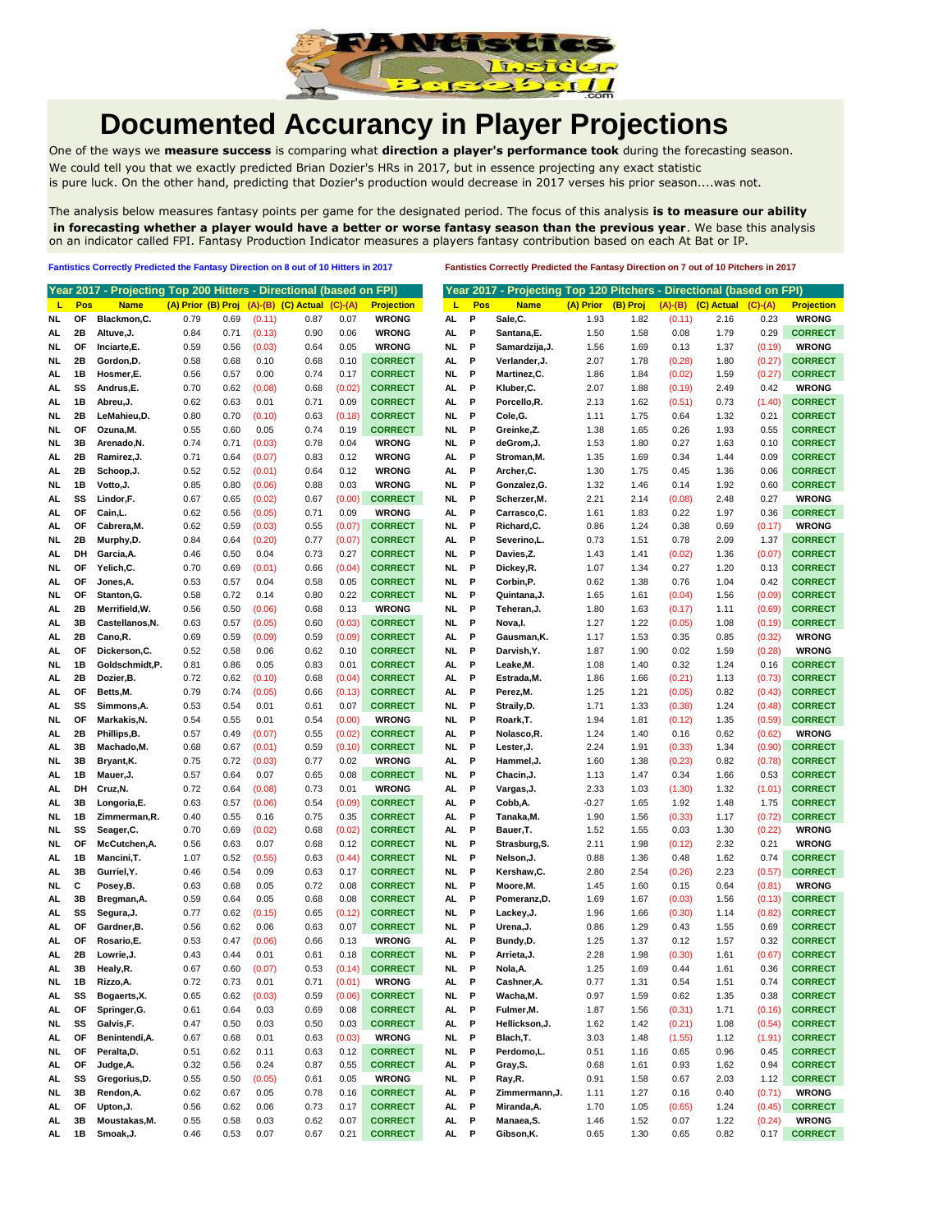

## **Documented Accurancy in Player Projections**

One of the ways we **measure success** is comparing what **direction a player's performance took** during the forecasting season. We could tell you that we exactly predicted Brian Dozier's HRs in 2017, but in essence projecting any exact statistic is pure luck. On the other hand, predicting that Dozier's production would decrease in 2017 verses his prior season....was not.

The analysis below measures fantasy points per game for the designated period. The focus of this analysis **is to measure our ability in forecasting whether a player would have a better or worse fantasy season than the previous year**. We base this analysis on an indicator called FPI. Fantasy Production Indicator measures a players fantasy contribution based on each At Bat or IP.

**Fantistics Correctly Predicted the Fantasy Direction on 8 out of 10 Hitters in 2017 Fantistics Correctly Predicted the Fantasy Direction on 7 out of 10 Pitchers in 2017**

|     |     | Year 2017 - Projecting Top 200 Hitters - Directional (based on FPI) |                    |      |        |                            |           |                   |           |              | Year 2017 - Projecting Top 120 Pitchers - Directional (based on FPI) |           |          |           |            |           |                   |
|-----|-----|---------------------------------------------------------------------|--------------------|------|--------|----------------------------|-----------|-------------------|-----------|--------------|----------------------------------------------------------------------|-----------|----------|-----------|------------|-----------|-------------------|
| L   | Pos | <b>Name</b>                                                         | (A) Prior (B) Proj |      |        | $(A)$ - $(B)$ $(C)$ Actual | $(C)-(A)$ | <b>Projection</b> | L         | Pos          | <b>Name</b>                                                          | (A) Prior | (B) Proj | $(A)-(B)$ | (C) Actual | $(C)-(A)$ | <b>Projection</b> |
| NL  | OF  | Blackmon, C.                                                        | 0.79               | 0.69 | (0.11) | 0.87                       | 0.07      | <b>WRONG</b>      | AL        | P            | Sale,C.                                                              | 1.93      | 1.82     | (0.11)    | 2.16       | 0.23      | <b>WRONG</b>      |
| AL. | 2Β  | Altuve, J.                                                          | 0.84               | 0.71 | (0.13) | 0.90                       | 0.06      | <b>WRONG</b>      | AL.       | P            | Santana, E.                                                          | 1.50      | 1.58     | 0.08      | 1.79       | 0.29      | <b>CORRECT</b>    |
| NL  | ΟF  | Inciarte,E.                                                         | 0.59               | 0.56 | (0.03) | 0.64                       | 0.05      | <b>WRONG</b>      | NL        | P            | Samardzija, J.                                                       | 1.56      | 1.69     | 0.13      | 1.37       | (0.19)    | <b>WRONG</b>      |
| NL. | 2Β  | Gordon, D.                                                          | 0.58               | 0.68 | 0.10   | 0.68                       | 0.10      | <b>CORRECT</b>    | AL.       | P            | Verlander.J.                                                         | 2.07      | 1.78     | (0.28)    | 1.80       | (0.27)    | <b>CORRECT</b>    |
| AL. | 1В  | Hosmer,E.                                                           | 0.56               | 0.57 | 0.00   | 0.74                       | 0.17      | <b>CORRECT</b>    | NL        | P            | Martinez,C.                                                          | 1.86      | 1.84     | (0.02)    | 1.59       | (0.27)    | <b>CORRECT</b>    |
| AL. | SS  | Andrus,E.                                                           | 0.70               | 0.62 | (0.08) | 0.68                       | (0.02)    | <b>CORRECT</b>    | AL        | P            | Kluber.C.                                                            | 2.07      | 1.88     | (0.19)    | 2.49       | 0.42      | <b>WRONG</b>      |
| AL. | 1В  | Abreu,J.                                                            | 0.62               | 0.63 | 0.01   | 0.71                       | 0.09      | <b>CORRECT</b>    | AL.       | P            | Porcello,R.                                                          | 2.13      | 1.62     | (0.51)    | 0.73       | (1.40)    | <b>CORRECT</b>    |
| NL  | 2Β  | LeMahieu,D.                                                         | 0.80               | 0.70 | (0.10) | 0.63                       | (0.18)    | <b>CORRECT</b>    | NL.       | P            | Cole, G.                                                             | 1.11      | 1.75     | 0.64      | 1.32       | 0.21      | <b>CORRECT</b>    |
| NL  | ΟF  | Ozuna, M.                                                           | 0.55               | 0.60 | 0.05   | 0.74                       | 0.19      | <b>CORRECT</b>    | NI.       | P            | Greinke,Z.                                                           | 1.38      | 1.65     | 0.26      | 1.93       | 0.55      | <b>CORRECT</b>    |
| NL  | 3B  | Arenado, N.                                                         | 0.74               | 0.71 | (0.03) | 0.78                       | 0.04      | <b>WRONG</b>      | NL        | P            | deGrom, J.                                                           | 1.53      | 1.80     | 0.27      | 1.63       | 0.10      | <b>CORRECT</b>    |
| AL  | 2Β  | Ramirez, J.                                                         | 0.71               | 0.64 | (0.07) | 0.83                       | 0.12      | <b>WRONG</b>      | AL        | P            | Stroman, M.                                                          | 1.35      | 1.69     | 0.34      | 1.44       | 0.09      | <b>CORRECT</b>    |
| AL  | 2Β  | Schoop, J.                                                          | 0.52               | 0.52 | (0.01) | 0.64                       | 0.12      | <b>WRONG</b>      | AL        | Р            | Archer, C.                                                           | 1.30      | 1.75     | 0.45      | 1.36       | 0.06      | <b>CORRECT</b>    |
| NL  | 1B  | Votto, J.                                                           | 0.85               | 0.80 | (0.06) | 0.88                       | 0.03      | <b>WRONG</b>      | NI.       | P            | Gonzalez, G.                                                         | 1.32      | 1.46     | 0.14      | 1.92       | 0.60      | <b>CORRECT</b>    |
| AL  | SS  | Lindor,F.                                                           | 0.67               | 0.65 | (0.02) | 0.67                       | (0.00)    | <b>CORRECT</b>    | NL        | P            | Scherzer, M.                                                         | 2.21      | 2.14     | (0.08)    | 2.48       | 0.27      | <b>WRONG</b>      |
| AL  | ΟF  | Cain, L.                                                            | 0.62               | 0.56 | (0.05) | 0.71                       | 0.09      | <b>WRONG</b>      | AL.       | Р            | Carrasco, C.                                                         | 1.61      | 1.83     | 0.22      | 1.97       | 0.36      | <b>CORRECT</b>    |
| AL  | ΟF  | Cabrera, M.                                                         | 0.62               | 0.59 | (0.03) | 0.55                       | (0.07)    | <b>CORRECT</b>    | NL        | P            | Richard, C.                                                          | 0.86      | 1.24     | 0.38      | 0.69       | (0.17)    | <b>WRONG</b>      |
| NL  | 2Β  | Murphy,D.                                                           | 0.84               | 0.64 | (0.20) | 0.77                       | (0.07)    | <b>CORRECT</b>    | AL.       | P            | Severino,L.                                                          | 0.73      | 1.51     | 0.78      | 2.09       | 1.37      | <b>CORRECT</b>    |
| AL  | DH  | Garcia, A.                                                          | 0.46               | 0.50 | 0.04   | 0.73                       | 0.27      | <b>CORRECT</b>    | NL        | P            | Davies,Z.                                                            | 1.43      | 1.41     | (0.02)    | 1.36       | (0.07)    | <b>CORRECT</b>    |
| NL  | ΟF  | Yelich,C.                                                           | 0.70               | 0.69 | (0.01) | 0.66                       | (0.04)    | <b>CORRECT</b>    | NL        | P            | Dickey,R.                                                            | 1.07      | 1.34     | 0.27      | 1.20       | 0.13      | <b>CORRECT</b>    |
| AL  | ΟF  | Jones,A.                                                            | 0.53               | 0.57 | 0.04   | 0.58                       | 0.05      | <b>CORRECT</b>    | NL        | P            | Corbin,P.                                                            | 0.62      | 1.38     | 0.76      | 1.04       | 0.42      | <b>CORRECT</b>    |
| NL  | ΟF  | Stanton, G.                                                         | 0.58               | 0.72 | 0.14   | 0.80                       | 0.22      | <b>CORRECT</b>    | NL        | P            | Quintana, J.                                                         | 1.65      | 1.61     | (0.04)    | 1.56       | (0.09)    | <b>CORRECT</b>    |
| AL  | 2Β  | Merrifield, W.                                                      | 0.56               | 0.50 | (0.06) | 0.68                       | 0.13      | <b>WRONG</b>      | NL        | P            | Teheran,J.                                                           | 1.80      | 1.63     | (0.17)    | 1.11       | (0.69)    | <b>CORRECT</b>    |
| AL  | 3В  | Castellanos, N.                                                     | 0.63               | 0.57 | (0.05) | 0.60                       | (0.03)    | <b>CORRECT</b>    | NL        | P            | Nova, I.                                                             | 1.27      | 1.22     | (0.05)    | 1.08       | (0.19)    | <b>CORRECT</b>    |
| AL. | 2Β  | Cano,R.                                                             | 0.69               | 0.59 | (0.09) | 0.59                       | (0.09)    | <b>CORRECT</b>    | AL.       | Р            | Gausman, K.                                                          | 1.17      | 1.53     | 0.35      | 0.85       | (0.32)    | <b>WRONG</b>      |
| AL. | ΟF  | Dickerson, C.                                                       | 0.52               | 0.58 | 0.06   | 0.62                       | 0.10      | <b>CORRECT</b>    | NL        | P            | Darvish, Y.                                                          | 1.87      | 1.90     | 0.02      | 1.59       | (0.28)    | <b>WRONG</b>      |
| NL  | 1B  | Goldschmidt,P.                                                      | 0.81               | 0.86 | 0.05   | 0.83                       | 0.01      | <b>CORRECT</b>    | AL        | Р            | Leake, M.                                                            | 1.08      | 1.40     | 0.32      | 1.24       | 0.16      | <b>CORRECT</b>    |
| AL. | 2Β  | Dozier, B.                                                          | 0.72               | 0.62 | (0.10) | 0.68                       | (0.04)    | <b>CORRECT</b>    | AL        | P            | Estrada, M.                                                          | 1.86      | 1.66     | (0.21)    | 1.13       | (0.73)    | <b>CORRECT</b>    |
| AL. | ΟF  | Betts, M.                                                           | 0.79               | 0.74 | (0.05) | 0.66                       | (0.13)    | <b>CORRECT</b>    | AL        | Р            | Perez, M.                                                            | 1.25      | 1.21     | (0.05)    | 0.82       | (0.43)    | <b>CORRECT</b>    |
| AL. | SS  | Simmons, A.                                                         | 0.53               | 0.54 | 0.01   | 0.61                       | 0.07      | <b>CORRECT</b>    | NL        | P            | Straily, D.                                                          | 1.71      | 1.33     | (0.38)    | 1.24       | (0.48)    | <b>CORRECT</b>    |
| NL  | ΟF  | Markakis, N.                                                        | 0.54               | 0.55 | 0.01   | 0.54                       | (0.00)    | <b>WRONG</b>      | NL        | Р            | Roark, T.                                                            | 1.94      | 1.81     | (0.12)    | 1.35       | (0.59)    | <b>CORRECT</b>    |
| AL. | 2Β  | Phillips,B.                                                         | 0.57               | 0.49 | (0.07) | 0.55                       | (0.02)    | <b>CORRECT</b>    | AL        | P            | Nolasco, R.                                                          | 1.24      | 1.40     | 0.16      | 0.62       | (0.62)    | <b>WRONG</b>      |
| AL  | 3В  | Machado, M.                                                         | 0.68               | 0.67 | (0.01) | 0.59                       | (0.10)    | <b>CORRECT</b>    | NL        | P            | Lester, J.                                                           | 2.24      | 1.91     | (0.33)    | 1.34       | (0.90)    | <b>CORRECT</b>    |
| NL  | 3B  | Bryant, K.                                                          | 0.75               | 0.72 | (0.03) | 0.77                       | 0.02      | <b>WRONG</b>      | AL        | Р            | Hammel,J.                                                            | 1.60      | 1.38     | (0.23)    | 0.82       | (0.78)    | <b>CORRECT</b>    |
| AL  | 1В  | Mauer, J.                                                           | 0.57               | 0.64 | 0.07   | 0.65                       | 0.08      | <b>CORRECT</b>    | NI.       | P            | Chacin, J.                                                           | 1.13      | 1.47     | 0.34      | 1.66       | 0.53      | <b>CORRECT</b>    |
| AL  | DH  | Cruz, N.                                                            | 0.72               | 0.64 | (0.08) | 0.73                       | 0.01      | <b>WRONG</b>      | AL        | P            | Vargas, J.                                                           | 2.33      | 1.03     | (1.30)    | 1.32       | (1.01)    | <b>CORRECT</b>    |
| AL  | 3B  | Longoria,E.                                                         | 0.63               | 0.57 | (0.06) | 0.54                       | (0.09)    | <b>CORRECT</b>    | AL.       | P            | Cobb,A.                                                              | $-0.27$   | 1.65     | 1.92      | 1.48       | 1.75      | <b>CORRECT</b>    |
| NL  | 1B  | Zimmerman, R.                                                       | 0.40               | 0.55 | 0.16   | 0.75                       | 0.35      | <b>CORRECT</b>    | AL        | Р            | Tanaka, M.                                                           | 1.90      | 1.56     | (0.33)    | 1.17       | (0.72)    | <b>CORRECT</b>    |
| NL  | SS  | Seager, C.                                                          | 0.70               | 0.69 | (0.02) | 0.68                       | (0.02)    | <b>CORRECT</b>    | AL.       | P            | Bauer, T.                                                            | 1.52      | 1.55     | 0.03      | 1.30       | (0.22)    | <b>WRONG</b>      |
| NL  | ΟF  | McCutchen, A.                                                       | 0.56               | 0.63 | 0.07   | 0.68                       | 0.12      | <b>CORRECT</b>    | NL        | P            | Strasburg, S.                                                        | 2.11      | 1.98     | (0.12)    | 2.32       | 0.21      | <b>WRONG</b>      |
| AL  | 1B  | Mancini, T.                                                         | 1.07               | 0.52 | (0.55) | 0.63                       | (0.44)    | <b>CORRECT</b>    | NL        | P            | Nelson, J.                                                           | 0.88      | 1.36     | 0.48      | 1.62       | 0.74      | <b>CORRECT</b>    |
| AL  | 3B  | Gurriel, Y.                                                         | 0.46               | 0.54 | 0.09   | 0.63                       | 0.17      | <b>CORRECT</b>    | NL        | P            | Kershaw, C.                                                          | 2.80      | 2.54     | (0.26)    | 2.23       | (0.57)    | <b>CORRECT</b>    |
| NL  | С   | Posey,B.                                                            | 0.63               | 0.68 | 0.05   | 0.72                       | 0.08      | <b>CORRECT</b>    | NL        | P            | Moore, M.                                                            | 1.45      | 1.60     | 0.15      | 0.64       | (0.81)    | <b>WRONG</b>      |
| AL  | 3B  | Bregman, A.                                                         | 0.59               | 0.64 | 0.05   | 0.68                       | 0.08      | <b>CORRECT</b>    | AL.       | P            | Pomeranz,D.                                                          | 1.69      | 1.67     | (0.03)    | 1.56       | (0.13)    | <b>CORRECT</b>    |
| AL  | SS  | Segura, J.                                                          | 0.77               | 0.62 | (0.15) | 0.65                       | (0.12)    | <b>CORRECT</b>    | NL        | P            | Lackey, J.                                                           | 1.96      | 1.66     | (0.30)    | 1.14       | (0.82)    | <b>CORRECT</b>    |
| AL  | ΟF  | Gardner, B.                                                         | 0.56               | 0.62 | 0.06   | 0.63                       | 0.07      | <b>CORRECT</b>    | NL        | P            | Urena, J.                                                            | 0.86      | 1.29     | 0.43      | 1.55       | 0.69      | <b>CORRECT</b>    |
| AL  | ΟF  | Rosario.E.                                                          | 0.53               | 0.47 | (0.06) | 0.66                       | 0.13      | <b>WRONG</b>      | AL.       | P            | Bundy,D.                                                             | 1.25      | 1.37     | 0.12      | 1.57       | 0.32      | <b>CORRECT</b>    |
| AL  | 2Β  | Lowrie, J.                                                          | 0.43               | 0.44 | 0.01   | 0.61                       | 0.18      | <b>CORRECT</b>    | NL        | P            | Arrieta, J.                                                          | 2.28      | 1.98     | (0.30)    | 1.61       | (0.67)    | <b>CORRECT</b>    |
| AL. | 3B  | Healy, R.                                                           | 0.67               | 0.60 | (0.07) | 0.53                       | (0.14)    | <b>CORRECT</b>    | NL        | P            | Nola, A.                                                             | 1.25      | 1.69     | 0.44      | 1.61       | 0.36      | <b>CORRECT</b>    |
| NL  | 18  | Rizzo,A.                                                            | 0.72               | 0.73 | 0.01   | 0.71                       | (0.01)    | <b>WRONG</b>      | AL        | Р            | Cashner,A.                                                           | 0.77      | 1.31     | 0.54      | 1.51       | 0.74      | <b>CORRECT</b>    |
| AL  | SS  | Bogaerts, X.                                                        | 0.65               | 0.62 | (0.03) | 0.59                       | (0.06)    | <b>CORRECT</b>    | NL        | - P          | Wacha, M.                                                            | 0.97      | 1.59     | 0.62      | 1.35       | 0.38      | <b>CORRECT</b>    |
| AL  | OF  | Springer, G.                                                        | 0.61               | 0.64 | 0.03   | 0.69                       | 0.08      | <b>CORRECT</b>    | AL        | P            | Fulmer, M.                                                           | 1.87      | 1.56     | (0.31)    | 1.71       | (0.16)    | <b>CORRECT</b>    |
| NL  | SS  | Galvis,F.                                                           | 0.47               | 0.50 | 0.03   | 0.50                       | 0.03      | <b>CORRECT</b>    | AL        | P            | Hellickson, J.                                                       | 1.62      | 1.42     | (0.21)    | 1.08       | (0.54)    | <b>CORRECT</b>    |
| AL. | ОF  | Benintendi, A.                                                      | 0.67               | 0.68 | 0.01   | 0.63                       | (0.03)    | <b>WRONG</b>      | <b>NL</b> | P            | Blach, T.                                                            | 3.03      | 1.48     | (1.55)    | 1.12       | (1.91)    | <b>CORRECT</b>    |
| NL. | OF  | Peralta, D.                                                         | 0.51               | 0.62 | 0.11   | 0.63                       | 0.12      | <b>CORRECT</b>    | NL.       | $\mathbf{P}$ | Perdomo, L.                                                          | 0.51      | 1.16     | 0.65      | 0.96       | 0.45      | <b>CORRECT</b>    |
| AL  | ОF  | Judge, A.                                                           | 0.32               | 0.56 | 0.24   | 0.87                       | 0.55      | <b>CORRECT</b>    | AL        | P            | Gray, S.                                                             | 0.68      | 1.61     | 0.93      | 1.62       | 0.94      | <b>CORRECT</b>    |
| AL. | SS  | Gregorius, D.                                                       | 0.55               | 0.50 | (0.05) | 0.61                       | 0.05      | <b>WRONG</b>      | <b>NL</b> | <b>P</b>     | Ray,R.                                                               | 0.91      | 1.58     | 0.67      | 2.03       | 1.12      | <b>CORRECT</b>    |
| NL. | 3B  | Rendon, A.                                                          | 0.62               | 0.67 | 0.05   | 0.78                       | 0.16      | <b>CORRECT</b>    | AL        | P            | Zimmermann, J.                                                       | 1.11      | 1.27     | 0.16      | 0.40       | (0.71)    | <b>WRONG</b>      |
| AL. | OF  | Upton, J.                                                           | 0.56               | 0.62 | 0.06   | 0.73                       | 0.17      | <b>CORRECT</b>    | AL        | P            | Miranda, A.                                                          | 1.70      | 1.05     | (0.65)    | 1.24       | (0.45)    | <b>CORRECT</b>    |
| AL. | 3B  | Moustakas, M.                                                       | 0.55               | 0.58 | 0.03   | 0.62                       | 0.07      | <b>CORRECT</b>    | AL        | P            | Manaea, S.                                                           | 1.46      | 1.52     | 0.07      | 1.22       | (0.24)    | <b>WRONG</b>      |
| AL  | 1B  | Smoak, J.                                                           | 0.46               | 0.53 | 0.07   | 0.67                       | 0.21      | <b>CORRECT</b>    |           | AL P         | Gibson, K.                                                           | 0.65      | 1.30     | 0.65      | 0.82       | 0.17      | <b>CORRECT</b>    |
|     |     |                                                                     |                    |      |        |                            |           |                   |           |              |                                                                      |           |          |           |            |           |                   |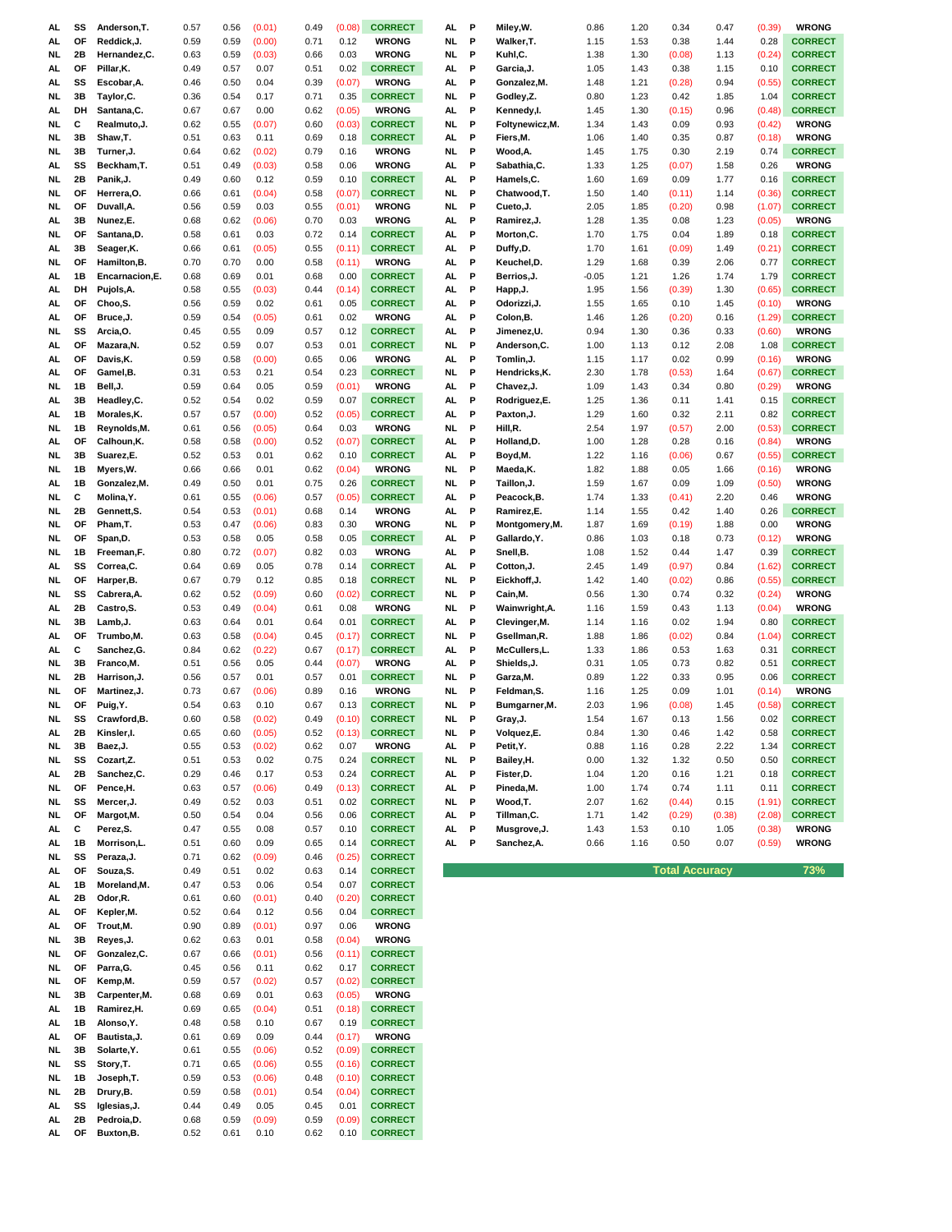| AL       | SS       | Anderson, T.              | 0.57         | 0.56         | (0.01)         | 0.49         | (0.08)         | <b>CORRECT</b>                   | AL. | Р            | Miley,W.        | 0.86    | 1.20 | 0.34                  | 0.47   | (0.39) | <b>WRONG</b>   |
|----------|----------|---------------------------|--------------|--------------|----------------|--------------|----------------|----------------------------------|-----|--------------|-----------------|---------|------|-----------------------|--------|--------|----------------|
| AL.      | ΟF       | Reddick, J.               | 0.59         | 0.59         | (0.00)         | 0.71         | 0.12           | <b>WRONG</b>                     | NL. | P            | Walker, T.      | 1.15    | 1.53 | 0.38                  | 1.44   | 0.28   | <b>CORRECT</b> |
| NL.      | 2Β       | Hernandez,C.              | 0.63         | 0.59         | (0.03)         | 0.66         | 0.03           | <b>WRONG</b>                     | NL. | P            | Kuhl,C.         | 1.38    | 1.30 | (0.08)                | 1.13   | (0.24) | <b>CORRECT</b> |
| AL.      | ΟF       | Pillar, K.                | 0.49         | 0.57         | 0.07           | 0.51         | 0.02           | <b>CORRECT</b>                   | AL  | P            | Garcia, J.      | 1.05    | 1.43 | 0.38                  | 1.15   | 0.10   | <b>CORRECT</b> |
| AL.      | SS       | Escobar, A.               | 0.46         | 0.50         | 0.04           | 0.39         | (0.07)         | <b>WRONG</b>                     | AL  | P            | Gonzalez,M.     | 1.48    | 1.21 | (0.28)                | 0.94   | (0.55) | <b>CORRECT</b> |
| NL       | 3B       | Taylor, C.                | 0.36         | 0.54         | 0.17           | 0.71         | 0.35           | <b>CORRECT</b>                   | NL  | P            | Godley,Z.       | 0.80    | 1.23 | 0.42                  | 1.85   | 1.04   | <b>CORRECT</b> |
| AL.      | DH       | Santana, C.               | 0.67         | 0.67         | 0.00           | 0.62         | (0.05)         | <b>WRONG</b>                     | AL  | P            | Kennedy,l.      | 1.45    | 1.30 | (0.15)                | 0.96   | (0.48) | <b>CORRECT</b> |
| NL       | c        | Realmuto, J.              | 0.62         | 0.55         | (0.07)         | 0.60         | (0.03)         | <b>CORRECT</b>                   | NL  | P            | Foltynewicz, M. | 1.34    | 1.43 | 0.09                  | 0.93   | (0.42) | <b>WRONG</b>   |
|          | 3B       |                           |              |              |                |              |                |                                  |     |              |                 |         |      |                       |        |        | <b>WRONG</b>   |
| NL       |          | Shaw,T.                   | 0.51         | 0.63         | 0.11           | 0.69         | 0.18           | <b>CORRECT</b>                   | AL  | P            | Fiers,M.        | 1.06    | 1.40 | 0.35                  | 0.87   | (0.18) |                |
| NL       | 3B       | Turner, J.                | 0.64         | 0.62         | (0.02)         | 0.79         | 0.16           | <b>WRONG</b>                     | NL  | P            | Wood,A.         | 1.45    | 1.75 | 0.30                  | 2.19   | 0.74   | <b>CORRECT</b> |
| AL       | SS       | Beckham,T.                | 0.51         | 0.49         | (0.03)         | 0.58         | 0.06           | <b>WRONG</b>                     | AL  | P            | Sabathia, C.    | 1.33    | 1.25 | (0.07)                | 1.58   | 0.26   | <b>WRONG</b>   |
| NL.      | 2Β       | Panik, J.                 | 0.49         | 0.60         | 0.12           | 0.59         | 0.10           | <b>CORRECT</b>                   | AL  | P            | Hamels,C.       | 1.60    | 1.69 | 0.09                  | 1.77   | 0.16   | <b>CORRECT</b> |
| NL.      | OF       | Herrera, O.               | 0.66         | 0.61         | (0.04)         | 0.58         | (0.07)         | <b>CORRECT</b>                   | NL. | P            | Chatwood.T.     | 1.50    | 1.40 | (0.11)                | 1.14   | (0.36) | <b>CORRECT</b> |
| NL.      | OF       | Duvall, A.                | 0.56         | 0.59         | 0.03           | 0.55         | (0.01)         | <b>WRONG</b>                     | NL. | P            | Cueto, J.       | 2.05    | 1.85 | (0.20)                | 0.98   | (1.07) | <b>CORRECT</b> |
| AL.      | 3B       | Nunez,E.                  | 0.68         | 0.62         | (0.06)         | 0.70         | 0.03           | <b>WRONG</b>                     | AL. | P            | Ramirez,J.      | 1.28    | 1.35 | 0.08                  | 1.23   | (0.05) | <b>WRONG</b>   |
| NL.      | OF       | Santana, D.               | 0.58         | 0.61         | 0.03           | 0.72         | 0.14           | <b>CORRECT</b>                   | AL. | P            | Morton,C.       | 1.70    | 1.75 | 0.04                  | 1.89   | 0.18   | <b>CORRECT</b> |
| AL       | 3B       | Seager, K.                | 0.66         | 0.61         | (0.05)         | 0.55         | (0.11)         | <b>CORRECT</b>                   | AL  | P            | Duffy,D.        | 1.70    | 1.61 | (0.09)                | 1.49   | (0.21) | <b>CORRECT</b> |
| NL.      | OF       | Hamilton, B.              | 0.70         | 0.70         | 0.00           | 0.58         | (0.11)         | <b>WRONG</b>                     | AL  | P            | Keuchel,D.      | 1.29    | 1.68 | 0.39                  | 2.06   | 0.77   | <b>CORRECT</b> |
| AL       | 1В       | Encarnacion, E.           | 0.68         | 0.69         | 0.01           | 0.68         | 0.00           | <b>CORRECT</b>                   | AL. | P            | Berrios, J.     | $-0.05$ | 1.21 | 1.26                  | 1.74   | 1.79   | <b>CORRECT</b> |
| AL       | DH       | Pujols, A.                | 0.58         | 0.55         | (0.03)         | 0.44         | (0.14)         | <b>CORRECT</b>                   | AL  | P            |                 | 1.95    | 1.56 | (0.39)                | 1.30   | (0.65) | <b>CORRECT</b> |
|          |          |                           |              |              |                |              |                |                                  |     |              | Happ,J.         |         |      |                       |        |        |                |
| AL       | OF       | Choo,S.                   | 0.56         | 0.59         | 0.02           | 0.61         | 0.05           | <b>CORRECT</b>                   | AL  | P            | Odorizzi, J.    | 1.55    | 1.65 | 0.10                  | 1.45   | (0.10) | <b>WRONG</b>   |
| AL       | OF       | Bruce, J.                 | 0.59         | 0.54         | (0.05)         | 0.61         | 0.02           | <b>WRONG</b>                     | AL  | P            | Colon, B.       | 1.46    | 1.26 | (0.20)                | 0.16   | (1.29) | <b>CORRECT</b> |
| NL       | SS       | Arcia, O.                 | 0.45         | 0.55         | 0.09           | 0.57         | 0.12           | <b>CORRECT</b>                   | AL  | P            | Jimenez,U.      | 0.94    | 1.30 | 0.36                  | 0.33   | (0.60) | <b>WRONG</b>   |
| AL       | ΟF       | Mazara, N.                | 0.52         | 0.59         | 0.07           | 0.53         | 0.01           | <b>CORRECT</b>                   | NL  | P            | Anderson, C.    | 1.00    | 1.13 | 0.12                  | 2.08   | 1.08   | <b>CORRECT</b> |
| AL       | ΟF       | Davis, K.                 | 0.59         | 0.58         | (0.00)         | 0.65         | 0.06           | <b>WRONG</b>                     | AL  | P            | Tomlin, J.      | 1.15    | 1.17 | 0.02                  | 0.99   | (0.16) | <b>WRONG</b>   |
| AL.      | ΟF       | Gamel, B.                 | 0.31         | 0.53         | 0.21           | 0.54         | 0.23           | <b>CORRECT</b>                   | NL. | P            | Hendricks, K.   | 2.30    | 1.78 | (0.53)                | 1.64   | (0.67) | <b>CORRECT</b> |
| NL.      | 1В       | Bell, J.                  | 0.59         | 0.64         | 0.05           | 0.59         | (0.01)         | <b>WRONG</b>                     | AL. | P            | Chavez, J.      | 1.09    | 1.43 | 0.34                  | 0.80   | (0.29) | <b>WRONG</b>   |
| AL.      | 3B       | Headley, C.               | 0.52         | 0.54         | 0.02           | 0.59         | 0.07           | <b>CORRECT</b>                   | AL. | P            | Rodriguez,E.    | 1.25    | 1.36 | 0.11                  | 1.41   | 0.15   | <b>CORRECT</b> |
| AL       | 1В       | Morales, K.               | 0.57         | 0.57         | (0.00)         | 0.52         | (0.05)         | <b>CORRECT</b>                   | AL  | P            | Paxton, J.      | 1.29    | 1.60 | 0.32                  | 2.11   | 0.82   | <b>CORRECT</b> |
| NL       | 1В       | Reynolds, M.              | 0.61         | 0.56         | (0.05)         | 0.64         | 0.03           | <b>WRONG</b>                     | NL  | P            | Hill,R.         | 2.54    | 1.97 | (0.57)                | 2.00   | (0.53) | <b>CORRECT</b> |
| AL       | OF       | Calhoun, K.               | 0.58         | 0.58         | (0.00)         | 0.52         | (0.07)         | <b>CORRECT</b>                   | AL  | P            | Holland,D.      | 1.00    | 1.28 | 0.28                  | 0.16   | (0.84) | <b>WRONG</b>   |
| NL.      | 3B       |                           | 0.52         | 0.53         | 0.01           | 0.62         | 0.10           | <b>CORRECT</b>                   | AL  | P            | Boyd,M.         | 1.22    | 1.16 | (0.06)                | 0.67   | (0.55) | <b>CORRECT</b> |
|          |          | Suarez,E.                 |              |              |                |              |                | <b>WRONG</b>                     |     |              |                 |         |      |                       |        |        |                |
| NL       | 1B       | Myers, W.                 | 0.66         | 0.66         | 0.01           | 0.62         | (0.04)         |                                  | NL  | P            | Maeda,K.        | 1.82    | 1.88 | 0.05                  | 1.66   | (0.16) | <b>WRONG</b>   |
| AL       | 1В       | Gonzalez, M.              | 0.49         | 0.50         | 0.01           | 0.75         | 0.26           | <b>CORRECT</b>                   | NL  | P            | Taillon, J.     | 1.59    | 1.67 | 0.09                  | 1.09   | (0.50) | <b>WRONG</b>   |
| NL       | C        | Molina, Y.                | 0.61         | 0.55         | (0.06)         | 0.57         | (0.05)         | <b>CORRECT</b>                   | AL  | P            | Peacock,B.      | 1.74    | 1.33 | (0.41)                | 2.20   | 0.46   | <b>WRONG</b>   |
| NL       | 2Β       | Gennett, S.               | 0.54         | 0.53         | (0.01)         | 0.68         | 0.14           | <b>WRONG</b>                     | AL  | P            | Ramirez,E.      | 1.14    | 1.55 | 0.42                  | 1.40   | 0.26   | <b>CORRECT</b> |
| NL.      | OF       | Pham, T.                  | 0.53         | 0.47         | (0.06)         | 0.83         | 0.30           | <b>WRONG</b>                     | NL  | P            | Montgomery, M.  | 1.87    | 1.69 | (0.19)                | 1.88   | 0.00   | <b>WRONG</b>   |
| NL.      | OF       | Span,D.                   | 0.53         | 0.58         | 0.05           | 0.58         | 0.05           | <b>CORRECT</b>                   | AL  | P            | Gallardo, Y.    | 0.86    | 1.03 | 0.18                  | 0.73   | (0.12) | <b>WRONG</b>   |
| NL.      | 1В       | Freeman, F.               | 0.80         | 0.72         | (0.07)         | 0.82         | 0.03           | <b>WRONG</b>                     | AL. | P            | Snell, B.       | 1.08    | 1.52 | 0.44                  | 1.47   | 0.39   | <b>CORRECT</b> |
| AL.      | SS       | Correa,C.                 | 0.64         | 0.69         | 0.05           | 0.78         | 0.14           | <b>CORRECT</b>                   | AL. | P            | Cotton,J.       | 2.45    | 1.49 | (0.97)                | 0.84   | (1.62) | <b>CORRECT</b> |
| NL.      | OF       | Harper, B.                | 0.67         | 0.79         | 0.12           | 0.85         | 0.18           | <b>CORRECT</b>                   | NL. | P            | Eickhoff, J.    | 1.42    | 1.40 | (0.02)                | 0.86   | (0.55) | <b>CORRECT</b> |
| NL.      | SS       | Cabrera, A.               | 0.62         | 0.52         | (0.09)         | 0.60         | (0.02)         | <b>CORRECT</b>                   | NL. | P            | Cain,M.         | 0.56    | 1.30 | 0.74                  | 0.32   | (0.24) | <b>WRONG</b>   |
| AL.      | 2Β       | Castro, S.                | 0.53         | 0.49         | (0.04)         | 0.61         | 0.08           | <b>WRONG</b>                     | NL. | P            | Wainwright, A.  | 1.16    | 1.59 | 0.43                  | 1.13   | (0.04) | <b>WRONG</b>   |
| NL.      | 3B       | Lamb, J.                  | 0.63         | 0.64         | 0.01           | 0.64         | 0.01           | <b>CORRECT</b>                   | AL. | P            | Clevinger, M.   | 1.14    | 1.16 | 0.02                  | 1.94   | 0.80   | <b>CORRECT</b> |
|          | OF       | Trumbo,M.                 | 0.63         | 0.58         |                | 0.45         |                | <b>CORRECT</b>                   | NL. | P            | Gsellman, R.    |         | 1.86 |                       |        | (1.04) | <b>CORRECT</b> |
| AL.      |          |                           |              |              | (0.04)         |              | (0.17)         |                                  |     |              |                 | 1.88    |      | (0.02)                | 0.84   |        |                |
| AL.      | C        | Sanchez, G.               | 0.84         | 0.62         | (0.22)         | 0.67         | (0.17)         | <b>CORRECT</b>                   | AL. | P            | McCullers,L.    | 1.33    | 1.86 | 0.53                  | 1.63   | 0.31   | <b>CORRECT</b> |
| NL.      | 3B       | Franco, M.                | 0.51         | 0.56         | 0.05           | 0.44         | (0.07)         | <b>WRONG</b>                     | AL  | P            | Shields,J.      | 0.31    | 1.05 | 0.73                  | 0.82   | 0.51   | <b>CORRECT</b> |
| NL.      | 2Β       | Harrison, J.              | 0.56         | 0.57         | 0.01           | 0.57         | 0.01           | <b>CORRECT</b>                   | NL. | P            | Garza,M.        | 0.89    | 1.22 | 0.33                  | 0.95   | 0.06   | <b>CORRECT</b> |
| NL.      | OF       | Martinez, J.              | 0.73         | 0.67         | (0.06)         | 0.89         | 0.16           | <b>WRONG</b>                     | NL. | P            | Feldman,S.      | 1.16    | 1.25 | 0.09                  | 1.01   | (0.14) | <b>WRONG</b>   |
| NL.      | ΟF       | Puig, Y.                  | 0.54         | 0.63         | 0.10           | 0.67         | 0.13           | <b>CORRECT</b>                   | NL. | P            | Bumgarner, M.   | 2.03    | 1.96 | (0.08)                | 1.45   | (0.58) | <b>CORRECT</b> |
| NL       | SS       | Crawford, B.              | 0.60         | 0.58         | (0.02)         | 0.49         | (0.10)         | <b>CORRECT</b>                   | NL  |              | Gray,J.         | 1.54    | 1.67 | 0.13                  | 1.56   | 0.02   | <b>CORRECT</b> |
| AL       | 2B       | Kinsler, I.               | 0.65         | 0.60         | (0.05)         | 0.52         | (0.13)         | <b>CORRECT</b>                   | NL  | $\mathbf{P}$ | Volquez,E.      | 0.84    | 1.30 | 0.46                  | 1.42   | 0.58   | <b>CORRECT</b> |
| NL       | 3В       | Baez, J.                  | 0.55         | 0.53         | (0.02)         | 0.62         | 0.07           | <b>WRONG</b>                     | AL. | P            | Petit, Y.       | 0.88    | 1.16 | 0.28                  | 2.22   | 1.34   | <b>CORRECT</b> |
| NL       | SS       | Cozart, Z.                | 0.51         | 0.53         | 0.02           | 0.75         | 0.24           | <b>CORRECT</b>                   | NL. | P            | Bailey,H.       | 0.00    | 1.32 | 1.32                  | 0.50   | 0.50   | <b>CORRECT</b> |
| AL       | 2Β       | Sanchez,C.                | 0.29         | 0.46         | 0.17           | 0.53         | 0.24           | <b>CORRECT</b>                   | AL. | P            | Fister,D.       | 1.04    | 1.20 | 0.16                  | 1.21   | 0.18   | <b>CORRECT</b> |
| NL       | ΟF       | Pence,H.                  | 0.63         | 0.57         | (0.06)         | 0.49         | (0.13)         | <b>CORRECT</b>                   | AL. | P            | Pineda,M.       | 1.00    | 1.74 | 0.74                  | 1.11   | 0.11   | <b>CORRECT</b> |
| NL       | SS       | Mercer, J.                | 0.49         | 0.52         | 0.03           | 0.51         | 0.02           | <b>CORRECT</b>                   | NL. | P            | Wood,T.         | 2.07    | 1.62 | (0.44)                | 0.15   | (1.91) | <b>CORRECT</b> |
| NL       | ΟF       | Margot, M.                |              |              |                |              |                |                                  |     |              |                 |         |      |                       | (0.38) | (2.08) | <b>CORRECT</b> |
| AL       |          |                           |              |              |                |              |                |                                  |     |              |                 |         |      |                       |        |        | <b>WRONG</b>   |
|          |          |                           | 0.50         | 0.54         | 0.04           | 0.56         | 0.06           | <b>CORRECT</b>                   | AL. | P            | Tillman,C.      | 1.71    | 1.42 | (0.29)                |        |        |                |
|          | С        | Perez, S.                 | 0.47         | 0.55         | 0.08           | 0.57         | 0.10           | <b>CORRECT</b>                   | AL  | P            | Musgrove, J.    | 1.43    | 1.53 | 0.10                  | 1.05   | (0.38) |                |
| AL       | 1B       | Morrison, L.              | 0.51         | 0.60         | 0.09           | 0.65         | 0.14           | <b>CORRECT</b>                   | AL. | P            | Sanchez, A.     | 0.66    | 1.16 | 0.50                  | 0.07   | (0.59) | <b>WRONG</b>   |
| NL       | SS       | Peraza, J.                | 0.71         | 0.62         | (0.09)         | 0.46         | (0.25)         | <b>CORRECT</b>                   |     |              |                 |         |      |                       |        |        |                |
| AL.      | OF       | Souza, S.                 | 0.49         | 0.51         | 0.02           | 0.63         | 0.14           | <b>CORRECT</b>                   |     |              |                 |         |      | <b>Total Accuracy</b> |        |        | 73%            |
| AL       | 1B       | Moreland, M.              | 0.47         | 0.53         | 0.06           | 0.54         | 0.07           | <b>CORRECT</b>                   |     |              |                 |         |      |                       |        |        |                |
| AL       | 2Β       | Odor, R.                  | 0.61         | 0.60         | (0.01)         | 0.40         | (0.20)         | <b>CORRECT</b>                   |     |              |                 |         |      |                       |        |        |                |
| AL       | ОF       | Kepler, M.                | 0.52         | 0.64         | 0.12           | 0.56         | 0.04           | <b>CORRECT</b>                   |     |              |                 |         |      |                       |        |        |                |
| AL.      | ΟF       | Trout, M.                 | 0.90         | 0.89         | (0.01)         | 0.97         | 0.06           | <b>WRONG</b>                     |     |              |                 |         |      |                       |        |        |                |
| NL       | 3B       | Reyes, J.                 | 0.62         | 0.63         | 0.01           | 0.58         | (0.04)         | <b>WRONG</b>                     |     |              |                 |         |      |                       |        |        |                |
| NL       | ΟF       | Gonzalez, C.              | 0.67         | 0.66         | (0.01)         | 0.56         | (0.11)         | <b>CORRECT</b>                   |     |              |                 |         |      |                       |        |        |                |
| NL       | ΟF       | Parra, G.                 | 0.45         | 0.56         | 0.11           | 0.62         | 0.17           | <b>CORRECT</b>                   |     |              |                 |         |      |                       |        |        |                |
| NL       | ΟF       | Kemp,M.                   | 0.59         | 0.57         | (0.02)         | 0.57         | (0.02)         | <b>CORRECT</b>                   |     |              |                 |         |      |                       |        |        |                |
| NL       | 3В       | Carpenter, M.             | 0.68         | 0.69         | 0.01           | 0.63         | (0.05)         | <b>WRONG</b>                     |     |              |                 |         |      |                       |        |        |                |
|          |          |                           |              |              |                |              |                |                                  |     |              |                 |         |      |                       |        |        |                |
| AL       | 1B       | Ramirez, H.               | 0.69         | 0.65         | (0.04)         | 0.51         | (0.18)         | <b>CORRECT</b>                   |     |              |                 |         |      |                       |        |        |                |
| AL       | 1B       | Alonso, Y.                | 0.48         | 0.58         | 0.10           | 0.67         | 0.19           | <b>CORRECT</b>                   |     |              |                 |         |      |                       |        |        |                |
| AL       | OF       | Bautista, J.              | 0.61         | 0.69         | 0.09           | 0.44         | (0.17)         | <b>WRONG</b>                     |     |              |                 |         |      |                       |        |        |                |
| NL       | 3B       | Solarte, Y.               | 0.61         | 0.55         | (0.06)         | 0.52         | (0.09)         | <b>CORRECT</b>                   |     |              |                 |         |      |                       |        |        |                |
| NL       | SS       | Story, T.                 | 0.71         | 0.65         | (0.06)         | 0.55         | (0.16)         | <b>CORRECT</b>                   |     |              |                 |         |      |                       |        |        |                |
| NL       | 1B       | Joseph, T.                | 0.59         | 0.53         | (0.06)         | 0.48         | (0.10)         | <b>CORRECT</b>                   |     |              |                 |         |      |                       |        |        |                |
| NL       | 2Β       | Drury, B.                 | 0.59         | 0.58         | (0.01)         | 0.54         | (0.04)         | <b>CORRECT</b>                   |     |              |                 |         |      |                       |        |        |                |
| AL.      | SS       | Iglesias, J.              | 0.44         | 0.49         | 0.05           | 0.45         | 0.01           | <b>CORRECT</b>                   |     |              |                 |         |      |                       |        |        |                |
| AL<br>AL | 2B<br>ОF | Pedroia, D.<br>Buxton, B. | 0.68<br>0.52 | 0.59<br>0.61 | (0.09)<br>0.10 | 0.59<br>0.62 | (0.09)<br>0.10 | <b>CORRECT</b><br><b>CORRECT</b> |     |              |                 |         |      |                       |        |        |                |